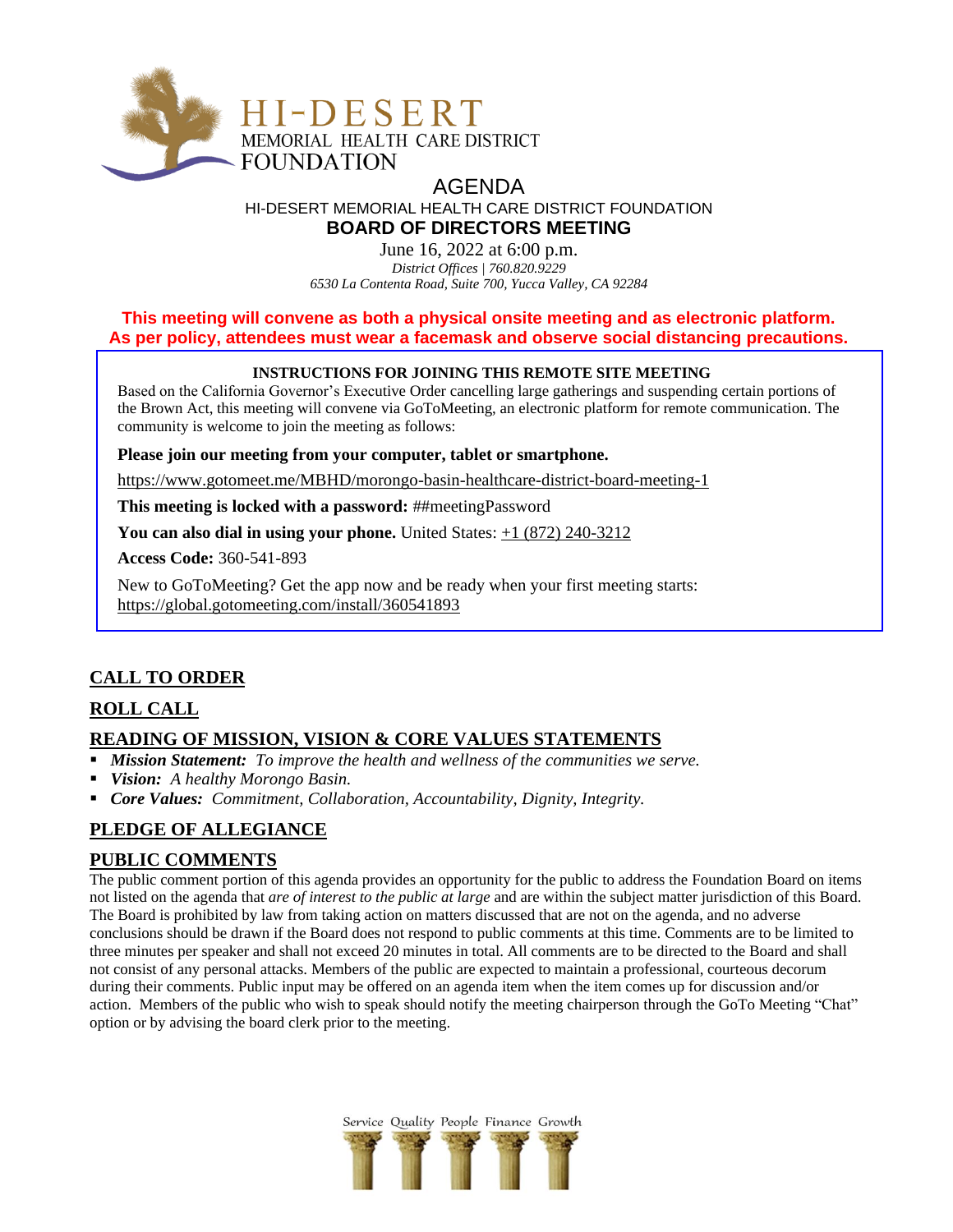

# AGENDA HI-DESERT MEMORIAL HEALTH CARE DISTRICT FOUNDATION **BOARD OF DIRECTORS MEETING**

June 16, 2022 at 6:00 p.m. *District Offices | 760.820.9229 6530 La Contenta Road, Suite 700, Yucca Valley, CA 92284*

# **This meeting will convene as both a physical onsite meeting and as electronic platform. As per policy, attendees must wear a facemask and observe social distancing precautions.**

### **INSTRUCTIONS FOR JOINING THIS REMOTE SITE MEETING**

Based on the California Governor's Executive Order cancelling large gatherings and suspending certain portions of the Brown Act, this meeting will convene via GoToMeeting, an electronic platform for remote communication. The community is welcome to join the meeting as follows:

**Please join our meeting from your computer, tablet or smartphone.**

<https://www.gotomeet.me/MBHD/morongo-basin-healthcare-district-board-meeting-1>

**This meeting is locked with a password:** ##meetingPassword

**You can also dial in using your phone.** United States: [+1 \(872\) 240-3212](tel:+18722403212,,360541893)

**Access Code:** 360-541-893

New to GoToMeeting? Get the app now and be ready when your first meeting starts: <https://global.gotomeeting.com/install/360541893>

# **CALL TO ORDER**

# **ROLL CALL**

# **READING OF MISSION, VISION & CORE VALUES STATEMENTS**

- *Mission Statement: To improve the health and wellness of the communities we serve.*
- *Vision: A healthy Morongo Basin.*
- *Core Values: Commitment, Collaboration, Accountability, Dignity, Integrity.*

# **PLEDGE OF ALLEGIANCE**

# **PUBLIC COMMENTS**

The public comment portion of this agenda provides an opportunity for the public to address the Foundation Board on items not listed on the agenda that *are of interest to the public at large* and are within the subject matter jurisdiction of this Board. The Board is prohibited by law from taking action on matters discussed that are not on the agenda, and no adverse conclusions should be drawn if the Board does not respond to public comments at this time. Comments are to be limited to three minutes per speaker and shall not exceed 20 minutes in total. All comments are to be directed to the Board and shall not consist of any personal attacks. Members of the public are expected to maintain a professional, courteous decorum during their comments. Public input may be offered on an agenda item when the item comes up for discussion and/or action. Members of the public who wish to speak should notify the meeting chairperson through the GoTo Meeting "Chat" option or by advising the board clerk prior to the meeting.

Service Quality People Finance Growth